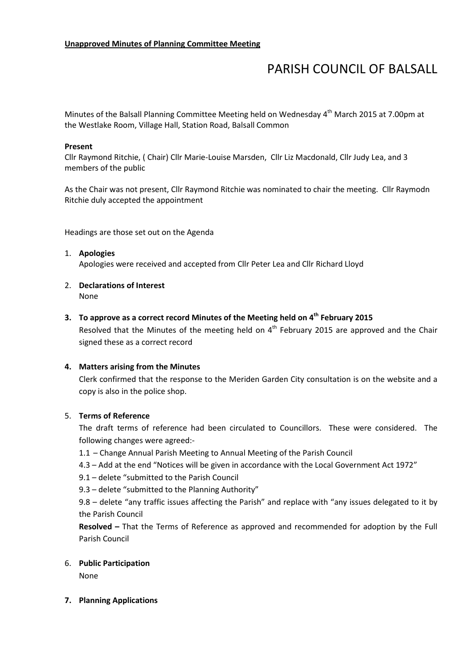# PARISH COUNCIL OF BALSALL

Minutes of the Balsall Planning Committee Meeting held on Wednesday 4<sup>th</sup> March 2015 at 7.00pm at the Westlake Room, Village Hall, Station Road, Balsall Common

### Present

Cllr Raymond Ritchie, ( Chair) Cllr Marie-Louise Marsden, Cllr Liz Macdonald, Cllr Judy Lea, and 3 members of the public

As the Chair was not present, Cllr Raymond Ritchie was nominated to chair the meeting. Cllr Raymodn Ritchie duly accepted the appointment

Headings are those set out on the Agenda

# 1. Apologies

Apologies were received and accepted from Cllr Peter Lea and Cllr Richard Lloyd

2. Declarations of Interest None

# 3. To approve as a correct record Minutes of the Meeting held on  $4<sup>th</sup>$  February 2015

Resolved that the Minutes of the meeting held on  $4<sup>th</sup>$  February 2015 are approved and the Chair signed these as a correct record

# 4. Matters arising from the Minutes

Clerk confirmed that the response to the Meriden Garden City consultation is on the website and a copy is also in the police shop.

# 5. Terms of Reference

The draft terms of reference had been circulated to Councillors. These were considered. The following changes were agreed:-

- 1.1 Change Annual Parish Meeting to Annual Meeting of the Parish Council
- 4.3 Add at the end "Notices will be given in accordance with the Local Government Act 1972"
- 9.1 delete "submitted to the Parish Council

9.3 – delete "submitted to the Planning Authority"

9.8 – delete "any traffic issues affecting the Parish" and replace with "any issues delegated to it by the Parish Council

Resolved – That the Terms of Reference as approved and recommended for adoption by the Full Parish Council

#### 6. Public Participation

None

#### 7. Planning Applications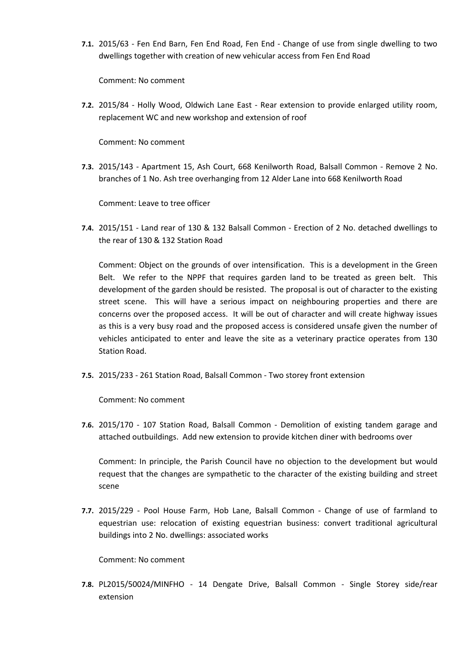7.1. 2015/63 - Fen End Barn, Fen End Road, Fen End - Change of use from single dwelling to two dwellings together with creation of new vehicular access from Fen End Road

Comment: No comment

7.2. 2015/84 - Holly Wood, Oldwich Lane East - Rear extension to provide enlarged utility room, replacement WC and new workshop and extension of roof

Comment: No comment

7.3. 2015/143 - Apartment 15, Ash Court, 668 Kenilworth Road, Balsall Common - Remove 2 No. branches of 1 No. Ash tree overhanging from 12 Alder Lane into 668 Kenilworth Road

Comment: Leave to tree officer

7.4. 2015/151 - Land rear of 130 & 132 Balsall Common - Erection of 2 No. detached dwellings to the rear of 130 & 132 Station Road

Comment: Object on the grounds of over intensification. This is a development in the Green Belt. We refer to the NPPF that requires garden land to be treated as green belt. This development of the garden should be resisted. The proposal is out of character to the existing street scene. This will have a serious impact on neighbouring properties and there are concerns over the proposed access. It will be out of character and will create highway issues as this is a very busy road and the proposed access is considered unsafe given the number of vehicles anticipated to enter and leave the site as a veterinary practice operates from 130 Station Road.

7.5. 2015/233 - 261 Station Road, Balsall Common - Two storey front extension

Comment: No comment

7.6. 2015/170 - 107 Station Road, Balsall Common - Demolition of existing tandem garage and attached outbuildings. Add new extension to provide kitchen diner with bedrooms over

Comment: In principle, the Parish Council have no objection to the development but would request that the changes are sympathetic to the character of the existing building and street scene

7.7. 2015/229 - Pool House Farm, Hob Lane, Balsall Common - Change of use of farmland to equestrian use: relocation of existing equestrian business: convert traditional agricultural buildings into 2 No. dwellings: associated works

Comment: No comment

7.8. PL2015/50024/MINFHO - 14 Dengate Drive, Balsall Common - Single Storey side/rear extension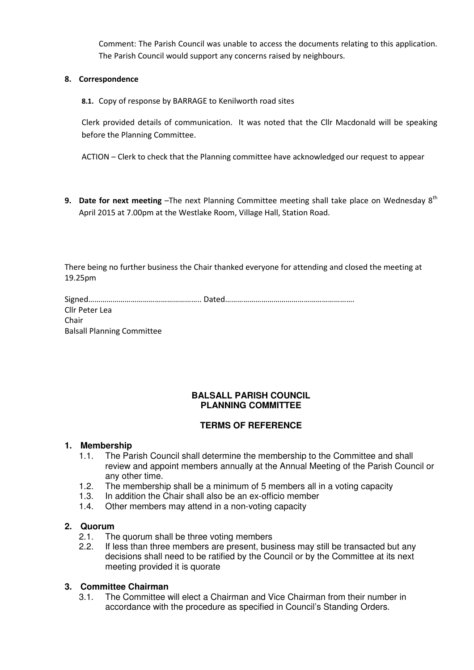Comment: The Parish Council was unable to access the documents relating to this application. The Parish Council would support any concerns raised by neighbours.

# 8. Correspondence

8.1. Copy of response by BARRAGE to Kenilworth road sites

Clerk provided details of communication. It was noted that the Cllr Macdonald will be speaking before the Planning Committee.

ACTION – Clerk to check that the Planning committee have acknowledged our request to appear

9. Date for next meeting  $-T$ he next Planning Committee meeting shall take place on Wednesday  $8<sup>th</sup>$ April 2015 at 7.00pm at the Westlake Room, Village Hall, Station Road.

There being no further business the Chair thanked everyone for attending and closed the meeting at 19.25pm

| Cllr Peter Lea                    |  |
|-----------------------------------|--|
| Chair                             |  |
| <b>Balsall Planning Committee</b> |  |

# **BALSALL PARISH COUNCIL PLANNING COMMITTEE**

# **TERMS OF REFERENCE**

#### **1. Membership**

- 1.1. The Parish Council shall determine the membership to the Committee and shall review and appoint members annually at the Annual Meeting of the Parish Council or any other time.
- 1.2. The membership shall be a minimum of 5 members all in a voting capacity
- 1.3. In addition the Chair shall also be an ex-officio member
- 1.4. Other members may attend in a non-voting capacity

# **2. Quorum**

- 2.1. The quorum shall be three voting members
- 2.2. If less than three members are present, business may still be transacted but any decisions shall need to be ratified by the Council or by the Committee at its next meeting provided it is quorate

# **3. Committee Chairman**

3.1. The Committee will elect a Chairman and Vice Chairman from their number in accordance with the procedure as specified in Council's Standing Orders.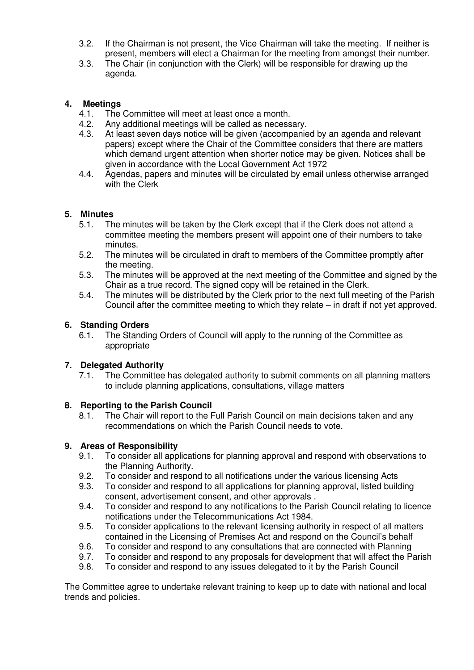- 3.2. If the Chairman is not present, the Vice Chairman will take the meeting. If neither is present, members will elect a Chairman for the meeting from amongst their number.
- 3.3. The Chair (in conjunction with the Clerk) will be responsible for drawing up the agenda.

# **4. Meetings**

- 4.1. The Committee will meet at least once a month.
- 4.2. Any additional meetings will be called as necessary.
- 4.3. At least seven days notice will be given (accompanied by an agenda and relevant papers) except where the Chair of the Committee considers that there are matters which demand urgent attention when shorter notice may be given. Notices shall be given in accordance with the Local Government Act 1972
- 4.4. Agendas, papers and minutes will be circulated by email unless otherwise arranged with the Clerk

# **5. Minutes**

- 5.1. The minutes will be taken by the Clerk except that if the Clerk does not attend a committee meeting the members present will appoint one of their numbers to take minutes.
- 5.2. The minutes will be circulated in draft to members of the Committee promptly after the meeting.
- 5.3. The minutes will be approved at the next meeting of the Committee and signed by the Chair as a true record. The signed copy will be retained in the Clerk.
- 5.4. The minutes will be distributed by the Clerk prior to the next full meeting of the Parish Council after the committee meeting to which they relate – in draft if not yet approved.

# **6. Standing Orders**

6.1. The Standing Orders of Council will apply to the running of the Committee as appropriate

# **7. Delegated Authority**

7.1. The Committee has delegated authority to submit comments on all planning matters to include planning applications, consultations, village matters

# **8. Reporting to the Parish Council**

8.1. The Chair will report to the Full Parish Council on main decisions taken and any recommendations on which the Parish Council needs to vote.

# **9. Areas of Responsibility**

- 9.1. To consider all applications for planning approval and respond with observations to the Planning Authority.
- 9.2. To consider and respond to all notifications under the various licensing Acts
- 9.3. To consider and respond to all applications for planning approval, listed building consent, advertisement consent, and other approvals .
- 9.4. To consider and respond to any notifications to the Parish Council relating to licence notifications under the Telecommunications Act 1984.
- 9.5. To consider applications to the relevant licensing authority in respect of all matters contained in the Licensing of Premises Act and respond on the Council's behalf
- 9.6. To consider and respond to any consultations that are connected with Planning
- 9.7. To consider and respond to any proposals for development that will affect the Parish
- 9.8. To consider and respond to any issues delegated to it by the Parish Council

The Committee agree to undertake relevant training to keep up to date with national and local trends and policies.